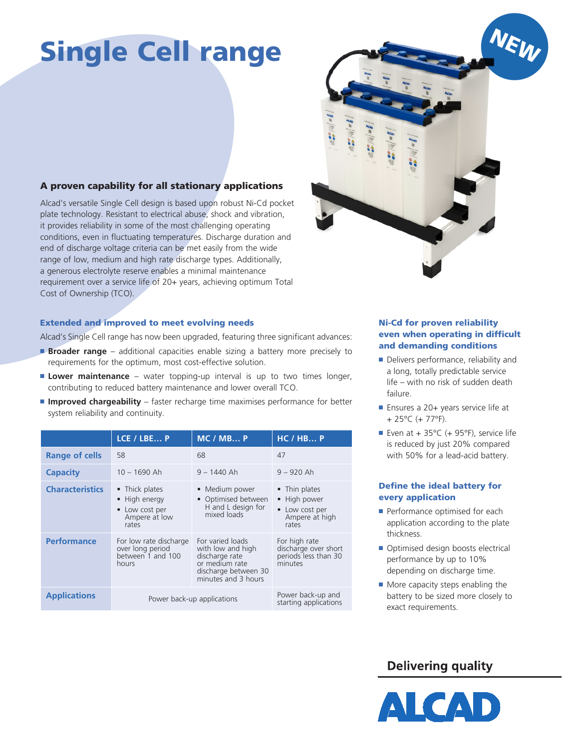# Single Cell range

### A proven capability for all stationary applications

Alcad's versatile Single Cell design is based upon robust Ni-Cd pocket plate technology. Resistant to electrical abuse, shock and vibration, it provides reliability in some of the most challenging operating conditions, even in fluctuating temperatures. Discharge duration and end of discharge voltage criteria can be met easily from the wide range of low, medium and high rate discharge types. Additionally, a generous electrolyte reserve enables a minimal maintenance requirement over a service life of 20+ years, achieving optimum Total Cost of Ownership (TCO).

#### Extended and improved to meet evolving needs

Alcad's Single Cell range has now been upgraded, featuring three significant advances:

- **Broader range** additional capacities enable sizing a battery more precisely to requirements for the optimum, most cost-effective solution.
- **Lower maintenance** water topping-up interval is up to two times longer, contributing to reduced battery maintenance and lower overall TCO.
- **Improved chargeability** faster recharge time maximises performance for better system reliability and continuity.

|                        | LCE / LBE P                                                                 | MC / MB P                                                                                                                | HC / HBP                                                                   |
|------------------------|-----------------------------------------------------------------------------|--------------------------------------------------------------------------------------------------------------------------|----------------------------------------------------------------------------|
| Range of cells         | 58                                                                          | 68                                                                                                                       | 47                                                                         |
| <b>Capacity</b>        | $10 - 1690$ Ah                                                              | $9 - 1440$ Ah                                                                                                            | $9 - 920$ Ah                                                               |
| <b>Characteristics</b> | • Thick plates<br>• High energy<br>• Low cost per<br>Ampere at low<br>rates | • Medium power<br>• Optimised between<br>H and L design for<br>mixed loads                                               | • Thin plates<br>• High power<br>• Low cost per<br>Ampere at high<br>rates |
| <b>Performance</b>     | For low rate discharge<br>over long period<br>between 1 and 100<br>hours    | For varied loads<br>with low and high<br>discharge rate<br>or medium rate<br>discharge between 30<br>minutes and 3 hours | For high rate<br>discharge over short<br>periods less than 30<br>minutes   |
| <b>Applications</b>    | Power back-up applications                                                  |                                                                                                                          | Power back-up and<br>starting applications                                 |



#### Ni-Cd for proven reliability even when operating in difficult and demanding conditions

- Delivers performance, reliability and a long, totally predictable service life – with no risk of sudden death failure.
- Ensures a 20+ years service life at + 25°C (+ 77°F).
- Even at + 35 $^{\circ}$ C (+ 95 $^{\circ}$ F), service life is reduced by just 20% compared with 50% for a lead-acid battery.

#### Define the ideal battery for every application

- Performance optimised for each application according to the plate thickness.
- Optimised design boosts electrical performance by up to 10% depending on discharge time.
- More capacity steps enabling the battery to be sized more closely to exact requirements.

## **Delivering quality**